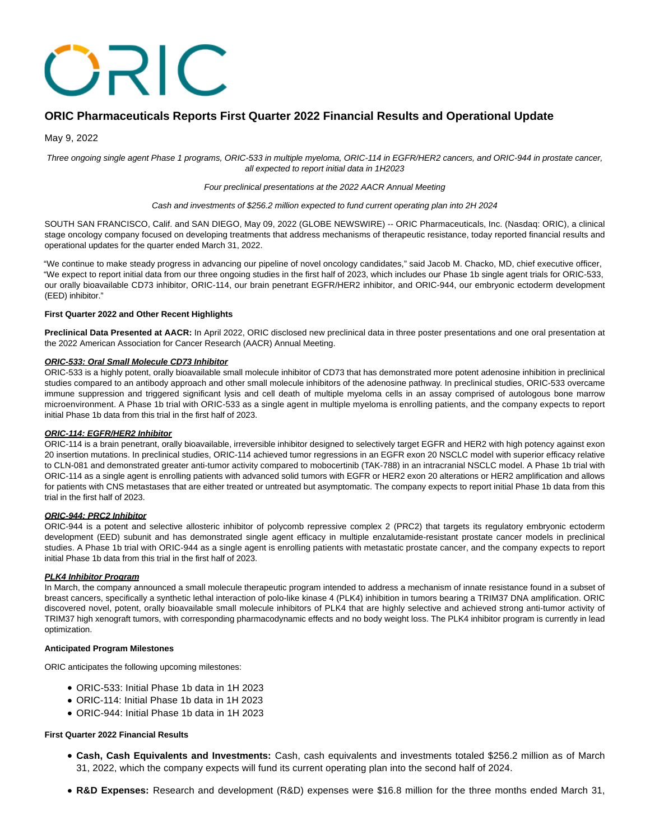# ORIC

# **ORIC Pharmaceuticals Reports First Quarter 2022 Financial Results and Operational Update**

May 9, 2022

Three ongoing single agent Phase 1 programs, ORIC-533 in multiple myeloma, ORIC-114 in EGFR/HER2 cancers, and ORIC-944 in prostate cancer, all expected to report initial data in 1H2023

### Four preclinical presentations at the 2022 AACR Annual Meeting

#### Cash and investments of \$256.2 million expected to fund current operating plan into 2H 2024

SOUTH SAN FRANCISCO, Calif. and SAN DIEGO, May 09, 2022 (GLOBE NEWSWIRE) -- ORIC Pharmaceuticals, Inc. (Nasdaq: ORIC), a clinical stage oncology company focused on developing treatments that address mechanisms of therapeutic resistance, today reported financial results and operational updates for the quarter ended March 31, 2022.

"We continue to make steady progress in advancing our pipeline of novel oncology candidates," said Jacob M. Chacko, MD, chief executive officer, "We expect to report initial data from our three ongoing studies in the first half of 2023, which includes our Phase 1b single agent trials for ORIC-533, our orally bioavailable CD73 inhibitor, ORIC-114, our brain penetrant EGFR/HER2 inhibitor, and ORIC-944, our embryonic ectoderm development (EED) inhibitor."

# **First Quarter 2022 and Other Recent Highlights**

**Preclinical Data Presented at AACR:** In April 2022, ORIC disclosed new preclinical data in three poster presentations and one oral presentation at the 2022 American Association for Cancer Research (AACR) Annual Meeting.

#### **ORIC-533: Oral Small Molecule CD73 Inhibitor**

ORIC-533 is a highly potent, orally bioavailable small molecule inhibitor of CD73 that has demonstrated more potent adenosine inhibition in preclinical studies compared to an antibody approach and other small molecule inhibitors of the adenosine pathway. In preclinical studies, ORIC-533 overcame immune suppression and triggered significant lysis and cell death of multiple myeloma cells in an assay comprised of autologous bone marrow microenvironment. A Phase 1b trial with ORIC-533 as a single agent in multiple myeloma is enrolling patients, and the company expects to report initial Phase 1b data from this trial in the first half of 2023.

# **ORIC-114: EGFR/HER2 Inhibitor**

ORIC-114 is a brain penetrant, orally bioavailable, irreversible inhibitor designed to selectively target EGFR and HER2 with high potency against exon 20 insertion mutations. In preclinical studies, ORIC-114 achieved tumor regressions in an EGFR exon 20 NSCLC model with superior efficacy relative to CLN-081 and demonstrated greater anti-tumor activity compared to mobocertinib (TAK-788) in an intracranial NSCLC model. A Phase 1b trial with ORIC-114 as a single agent is enrolling patients with advanced solid tumors with EGFR or HER2 exon 20 alterations or HER2 amplification and allows for patients with CNS metastases that are either treated or untreated but asymptomatic. The company expects to report initial Phase 1b data from this trial in the first half of 2023.

# **ORIC-944: PRC2 Inhibitor**

ORIC-944 is a potent and selective allosteric inhibitor of polycomb repressive complex 2 (PRC2) that targets its regulatory embryonic ectoderm development (EED) subunit and has demonstrated single agent efficacy in multiple enzalutamide-resistant prostate cancer models in preclinical studies. A Phase 1b trial with ORIC-944 as a single agent is enrolling patients with metastatic prostate cancer, and the company expects to report initial Phase 1b data from this trial in the first half of 2023.

# **PLK4 Inhibitor Program**

In March, the company announced a small molecule therapeutic program intended to address a mechanism of innate resistance found in a subset of breast cancers, specifically a synthetic lethal interaction of polo-like kinase 4 (PLK4) inhibition in tumors bearing a TRIM37 DNA amplification. ORIC discovered novel, potent, orally bioavailable small molecule inhibitors of PLK4 that are highly selective and achieved strong anti-tumor activity of TRIM37 high xenograft tumors, with corresponding pharmacodynamic effects and no body weight loss. The PLK4 inhibitor program is currently in lead optimization.

#### **Anticipated Program Milestones**

ORIC anticipates the following upcoming milestones:

- ORIC-533: Initial Phase 1b data in 1H 2023
- ORIC-114: Initial Phase 1b data in 1H 2023
- ORIC-944: Initial Phase 1b data in 1H 2023

# **First Quarter 2022 Financial Results**

- **Cash, Cash Equivalents and Investments:** Cash, cash equivalents and investments totaled \$256.2 million as of March 31, 2022, which the company expects will fund its current operating plan into the second half of 2024.
- **R&D Expenses:** Research and development (R&D) expenses were \$16.8 million for the three months ended March 31,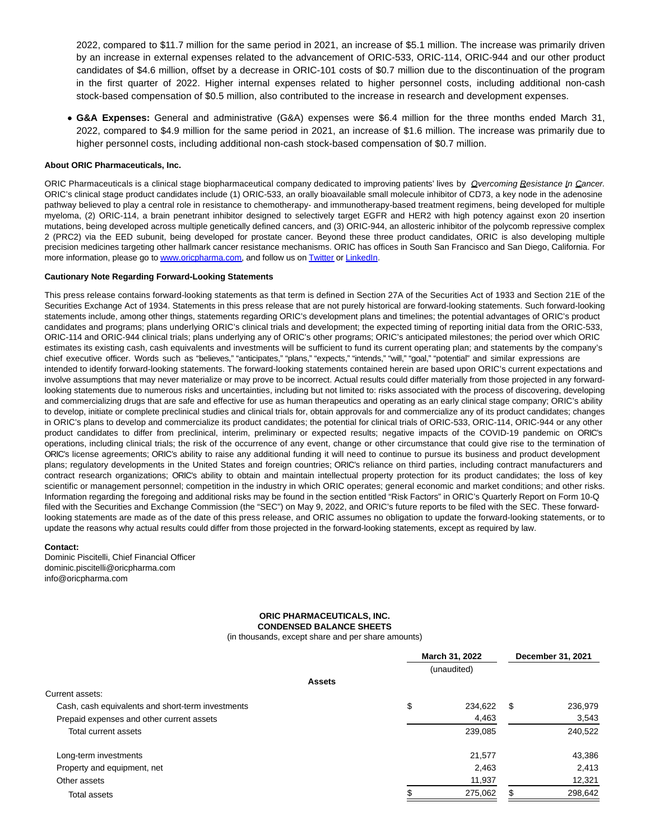2022, compared to \$11.7 million for the same period in 2021, an increase of \$5.1 million. The increase was primarily driven by an increase in external expenses related to the advancement of ORIC-533, ORIC-114, ORIC-944 and our other product candidates of \$4.6 million, offset by a decrease in ORIC-101 costs of \$0.7 million due to the discontinuation of the program in the first quarter of 2022. Higher internal expenses related to higher personnel costs, including additional non-cash stock-based compensation of \$0.5 million, also contributed to the increase in research and development expenses.

**G&A Expenses:** General and administrative (G&A) expenses were \$6.4 million for the three months ended March 31, 2022, compared to \$4.9 million for the same period in 2021, an increase of \$1.6 million. The increase was primarily due to higher personnel costs, including additional non-cash stock-based compensation of \$0.7 million.

# **About ORIC Pharmaceuticals, Inc.**

ORIC Pharmaceuticals is a clinical stage biopharmaceutical company dedicated to improving patients' lives by *Qvercoming Resistance In Cancer.* ORIC's clinical stage product candidates include (1) ORIC-533, an orally bioavailable small molecule inhibitor of CD73, a key node in the adenosine pathway believed to play a central role in resistance to chemotherapy- and immunotherapy-based treatment regimens, being developed for multiple myeloma, (2) ORIC-114, a brain penetrant inhibitor designed to selectively target EGFR and HER2 with high potency against exon 20 insertion mutations, being developed across multiple genetically defined cancers, and (3) ORIC-944, an allosteric inhibitor of the polycomb repressive complex 2 (PRC2) via the EED subunit, being developed for prostate cancer. Beyond these three product candidates, ORIC is also developing multiple precision medicines targeting other hallmark cancer resistance mechanisms. ORIC has offices in South San Francisco and San Diego, California. For more information, please go t[o www.oricpharma.com,](https://www.globenewswire.com/Tracker?data=NCb6px8D3GAlQvZxkf64Y0sM66nOSNdIih2JXG10lMQBuHECNxFicjEXZKE39enYov-4YlrrGEZ4iv0kEC5XKdgMIPusnqFisDMxGqU43Zw=) and follow us o[n Twitter o](https://www.globenewswire.com/Tracker?data=OwUhdITJIRtFBIsnzHvd-VnQt2n_Dwi-61Zb4x9Udlh8xERZ_NU9QW2WUTHqFuKQWmohvZ_tsMBi8VeHZWYdaRXgfBNEuFzpweOyEYiDrfs=)r [LinkedIn.](https://www.globenewswire.com/Tracker?data=_IUceoK07vM349HEG3ie61sRgV-UHuuCtQEkRTZElxDQdn5T9i8ne6IeeLPgWXtv5S93MlRSDBnShamERL5vdpVj7cmWy3z4YZFuCiPteGXx9b7teXzo8_Cfga7edVUA)

#### **Cautionary Note Regarding Forward-Looking Statements**

This press release contains forward-looking statements as that term is defined in Section 27A of the Securities Act of 1933 and Section 21E of the Securities Exchange Act of 1934. Statements in this press release that are not purely historical are forward-looking statements. Such forward-looking statements include, among other things, statements regarding ORIC's development plans and timelines; the potential advantages of ORIC's product candidates and programs; plans underlying ORIC's clinical trials and development; the expected timing of reporting initial data from the ORIC-533, ORIC-114 and ORIC-944 clinical trials; plans underlying any of ORIC's other programs; ORIC's anticipated milestones; the period over which ORIC estimates its existing cash, cash equivalents and investments will be sufficient to fund its current operating plan; and statements by the company's chief executive officer. Words such as "believes," "anticipates," "plans," "expects," "intends," "will," "goal," "potential" and similar expressions are intended to identify forward-looking statements. The forward-looking statements contained herein are based upon ORIC's current expectations and involve assumptions that may never materialize or may prove to be incorrect. Actual results could differ materially from those projected in any forwardlooking statements due to numerous risks and uncertainties, including but not limited to: risks associated with the process of discovering, developing and commercializing drugs that are safe and effective for use as human therapeutics and operating as an early clinical stage company; ORIC's ability to develop, initiate or complete preclinical studies and clinical trials for, obtain approvals for and commercialize any of its product candidates; changes in ORIC's plans to develop and commercialize its product candidates; the potential for clinical trials of ORIC-533, ORIC-114, ORIC-944 or any other product candidates to differ from preclinical, interim, preliminary or expected results; negative impacts of the COVID-19 pandemic on ORIC's operations, including clinical trials; the risk of the occurrence of any event, change or other circumstance that could give rise to the termination of ORIC's license agreements; ORIC's ability to raise any additional funding it will need to continue to pursue its business and product development plans; regulatory developments in the United States and foreign countries; ORIC's reliance on third parties, including contract manufacturers and contract research organizations; ORIC's ability to obtain and maintain intellectual property protection for its product candidates; the loss of key scientific or management personnel; competition in the industry in which ORIC operates; general economic and market conditions; and other risks. Information regarding the foregoing and additional risks may be found in the section entitled "Risk Factors" in ORIC's Quarterly Report on Form 10-Q filed with the Securities and Exchange Commission (the "SEC") on May 9, 2022, and ORIC's future reports to be filed with the SEC. These forwardlooking statements are made as of the date of this press release, and ORIC assumes no obligation to update the forward-looking statements, or to update the reasons why actual results could differ from those projected in the forward-looking statements, except as required by law.

#### **Contact:**

Dominic Piscitelli, Chief Financial Officer dominic.piscitelli@oricpharma.com info@oricpharma.com

# **ORIC PHARMACEUTICALS, INC. CONDENSED BALANCE SHEETS**

(in thousands, except share and per share amounts)

|                                                   | March 31, 2022 |             | December 31, 2021 |         |
|---------------------------------------------------|----------------|-------------|-------------------|---------|
| <b>Assets</b>                                     |                | (unaudited) |                   |         |
| Current assets:                                   |                |             |                   |         |
| Cash, cash equivalents and short-term investments | \$             | 234.622     | - \$              | 236,979 |
| Prepaid expenses and other current assets         |                | 4,463       |                   | 3,543   |
| Total current assets                              |                | 239,085     |                   | 240,522 |
| Long-term investments                             |                | 21,577      |                   | 43,386  |
| Property and equipment, net                       |                | 2,463       |                   | 2,413   |
| Other assets                                      |                | 11,937      |                   | 12,321  |
| Total assets                                      |                | 275,062     |                   | 298,642 |